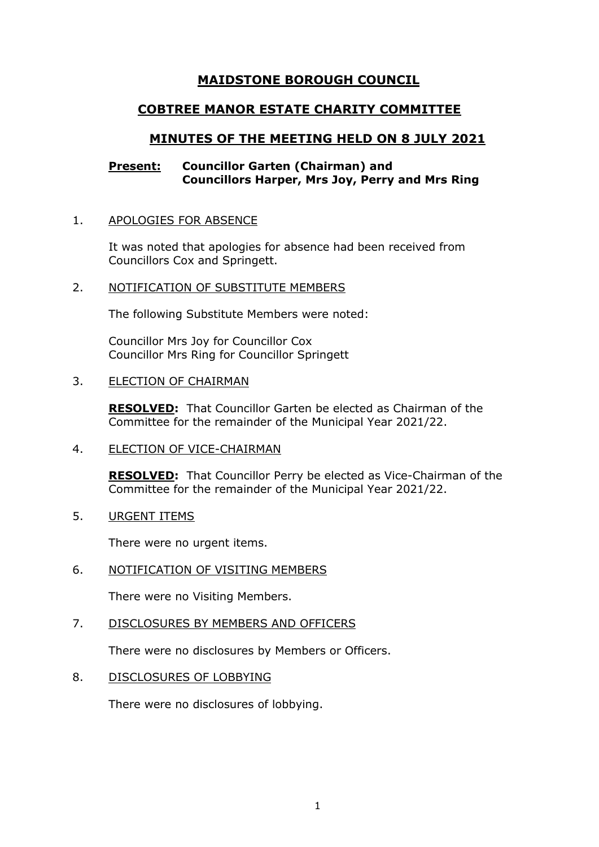# **MAIDSTONE BOROUGH COUNCIL**

# **COBTREE MANOR ESTATE CHARITY COMMITTEE**

# **MINUTES OF THE MEETING HELD ON 8 JULY 2021**

# **Present: Councillor Garten (Chairman) and Councillors Harper, Mrs Joy, Perry and Mrs Ring**

# 1. APOLOGIES FOR ABSENCE

It was noted that apologies for absence had been received from Councillors Cox and Springett.

# 2. NOTIFICATION OF SUBSTITUTE MEMBERS

The following Substitute Members were noted:

Councillor Mrs Joy for Councillor Cox Councillor Mrs Ring for Councillor Springett

### 3. ELECTION OF CHAIRMAN

**RESOLVED:** That Councillor Garten be elected as Chairman of the Committee for the remainder of the Municipal Year 2021/22.

4. ELECTION OF VICE-CHAIRMAN

**RESOLVED:** That Councillor Perry be elected as Vice-Chairman of the Committee for the remainder of the Municipal Year 2021/22.

5. URGENT ITEMS

There were no urgent items.

6. NOTIFICATION OF VISITING MEMBERS

There were no Visiting Members.

# 7. DISCLOSURES BY MEMBERS AND OFFICERS

There were no disclosures by Members or Officers.

8. DISCLOSURES OF LOBBYING

There were no disclosures of lobbying.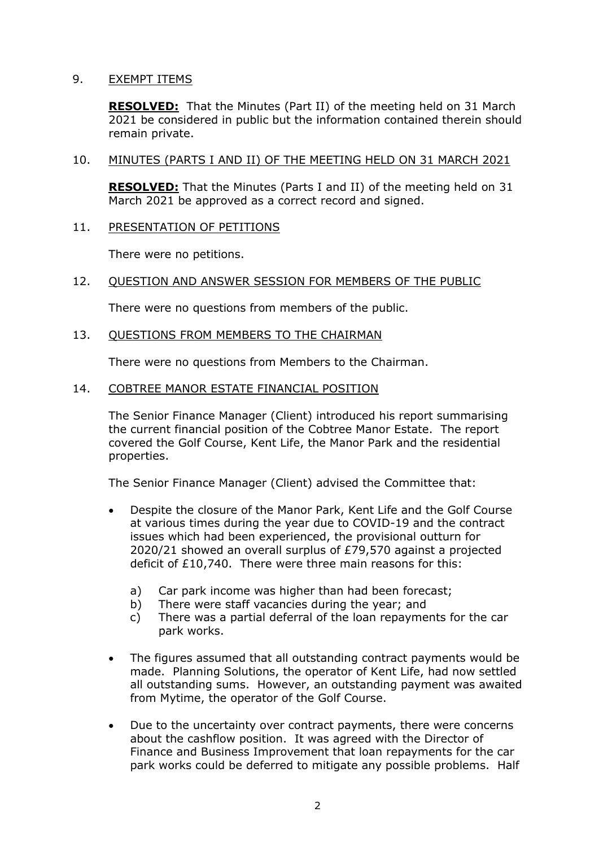# 9. EXEMPT ITEMS

**RESOLVED:** That the Minutes (Part II) of the meeting held on 31 March 2021 be considered in public but the information contained therein should remain private.

### 10. MINUTES (PARTS I AND II) OF THE MEETING HELD ON 31 MARCH 2021

**RESOLVED:** That the Minutes (Parts I and II) of the meeting held on 31 March 2021 be approved as a correct record and signed.

# 11. PRESENTATION OF PETITIONS

There were no petitions.

# 12. QUESTION AND ANSWER SESSION FOR MEMBERS OF THE PUBLIC

There were no questions from members of the public.

# 13. QUESTIONS FROM MEMBERS TO THE CHAIRMAN

There were no questions from Members to the Chairman.

### 14. COBTREE MANOR ESTATE FINANCIAL POSITION

The Senior Finance Manager (Client) introduced his report summarising the current financial position of the Cobtree Manor Estate. The report covered the Golf Course, Kent Life, the Manor Park and the residential properties.

The Senior Finance Manager (Client) advised the Committee that:

- Despite the closure of the Manor Park, Kent Life and the Golf Course at various times during the year due to COVID-19 and the contract issues which had been experienced, the provisional outturn for 2020/21 showed an overall surplus of £79,570 against a projected deficit of £10,740. There were three main reasons for this:
	- a) Car park income was higher than had been forecast;
	- b) There were staff vacancies during the year; and
	- c) There was a partial deferral of the loan repayments for the car park works.
- The figures assumed that all outstanding contract payments would be made. Planning Solutions, the operator of Kent Life, had now settled all outstanding sums. However, an outstanding payment was awaited from Mytime, the operator of the Golf Course.
- Due to the uncertainty over contract payments, there were concerns about the cashflow position. It was agreed with the Director of Finance and Business Improvement that loan repayments for the car park works could be deferred to mitigate any possible problems. Half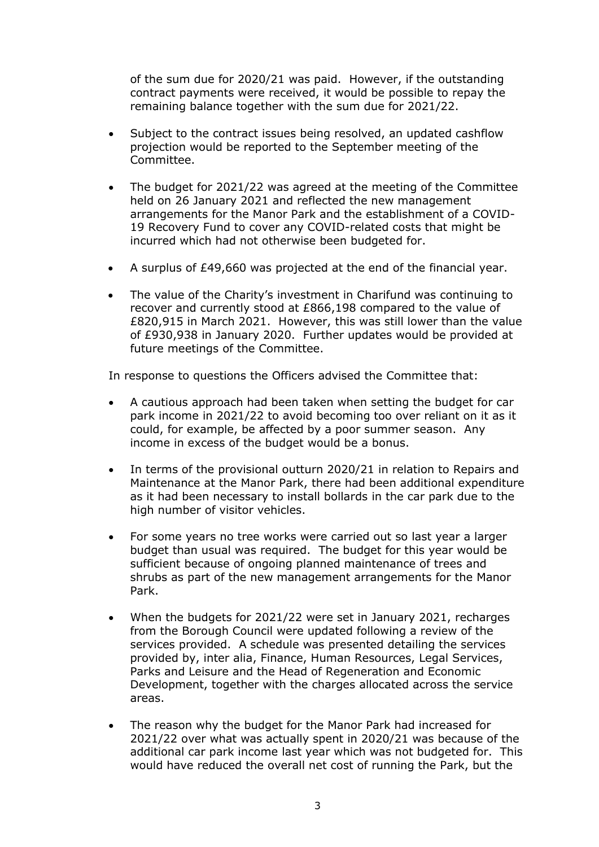of the sum due for 2020/21 was paid. However, if the outstanding contract payments were received, it would be possible to repay the remaining balance together with the sum due for 2021/22.

- Subject to the contract issues being resolved, an updated cashflow projection would be reported to the September meeting of the Committee.
- The budget for 2021/22 was agreed at the meeting of the Committee held on 26 January 2021 and reflected the new management arrangements for the Manor Park and the establishment of a COVID-19 Recovery Fund to cover any COVID-related costs that might be incurred which had not otherwise been budgeted for.
- A surplus of £49,660 was projected at the end of the financial year.
- The value of the Charity's investment in Charifund was continuing to recover and currently stood at £866,198 compared to the value of £820,915 in March 2021. However, this was still lower than the value of £930,938 in January 2020. Further updates would be provided at future meetings of the Committee.

In response to questions the Officers advised the Committee that:

- A cautious approach had been taken when setting the budget for car park income in 2021/22 to avoid becoming too over reliant on it as it could, for example, be affected by a poor summer season. Any income in excess of the budget would be a bonus.
- In terms of the provisional outturn 2020/21 in relation to Repairs and Maintenance at the Manor Park, there had been additional expenditure as it had been necessary to install bollards in the car park due to the high number of visitor vehicles.
- For some years no tree works were carried out so last year a larger budget than usual was required. The budget for this year would be sufficient because of ongoing planned maintenance of trees and shrubs as part of the new management arrangements for the Manor Park.
- When the budgets for 2021/22 were set in January 2021, recharges from the Borough Council were updated following a review of the services provided. A schedule was presented detailing the services provided by, inter alia, Finance, Human Resources, Legal Services, Parks and Leisure and the Head of Regeneration and Economic Development, together with the charges allocated across the service areas.
- The reason why the budget for the Manor Park had increased for 2021/22 over what was actually spent in 2020/21 was because of the additional car park income last year which was not budgeted for. This would have reduced the overall net cost of running the Park, but the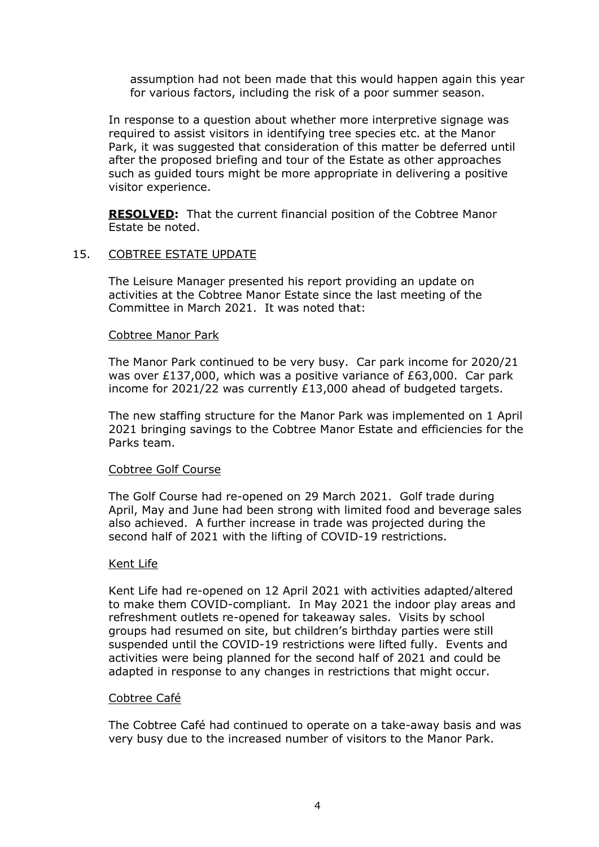assumption had not been made that this would happen again this year for various factors, including the risk of a poor summer season.

In response to a question about whether more interpretive signage was required to assist visitors in identifying tree species etc. at the Manor Park, it was suggested that consideration of this matter be deferred until after the proposed briefing and tour of the Estate as other approaches such as guided tours might be more appropriate in delivering a positive visitor experience.

**RESOLVED:** That the current financial position of the Cobtree Manor Estate be noted.

### 15. COBTREE ESTATE UPDATE

The Leisure Manager presented his report providing an update on activities at the Cobtree Manor Estate since the last meeting of the Committee in March 2021. It was noted that:

#### Cobtree Manor Park

The Manor Park continued to be very busy. Car park income for 2020/21 was over £137,000, which was a positive variance of £63,000. Car park income for 2021/22 was currently £13,000 ahead of budgeted targets.

The new staffing structure for the Manor Park was implemented on 1 April 2021 bringing savings to the Cobtree Manor Estate and efficiencies for the Parks team.

#### Cobtree Golf Course

The Golf Course had re-opened on 29 March 2021. Golf trade during April, May and June had been strong with limited food and beverage sales also achieved. A further increase in trade was projected during the second half of 2021 with the lifting of COVID-19 restrictions.

### Kent Life

Kent Life had re-opened on 12 April 2021 with activities adapted/altered to make them COVID-compliant. In May 2021 the indoor play areas and refreshment outlets re-opened for takeaway sales. Visits by school groups had resumed on site, but children's birthday parties were still suspended until the COVID-19 restrictions were lifted fully. Events and activities were being planned for the second half of 2021 and could be adapted in response to any changes in restrictions that might occur.

#### Cobtree Café

The Cobtree Café had continued to operate on a take-away basis and was very busy due to the increased number of visitors to the Manor Park.